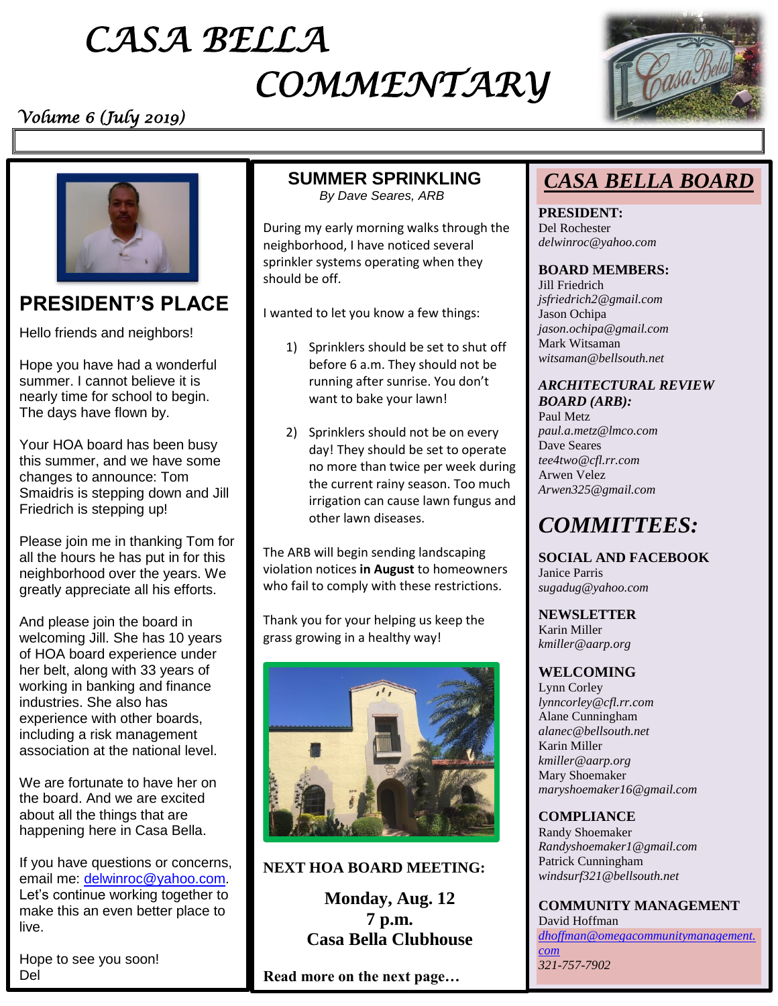# *CASA BELLA COMMENTARY*

### *Volume 6 (July 2019)*





## **PRESIDENT'S PLACE**

Hello friends and neighbors!

Hope you have had a wonderful summer. I cannot believe it is nearly time for school to begin. The days have flown by.

Your HOA board has been busy this summer, and we have some changes to announce: Tom Smaidris is stepping down and Jill Friedrich is stepping up!

Please join me in thanking Tom for all the hours he has put in for this neighborhood over the years. We greatly appreciate all his efforts.

And please join the board in welcoming Jill. She has 10 years of HOA board experience under her belt, along with 33 years of working in banking and finance industries. She also has experience with other boards, including a risk management association at the national level.

We are fortunate to have her on the board. And we are excited about all the things that are happening here in Casa Bella.

If you have questions or concerns, email me: [delwinroc@yahoo.com.](mailto:delwinroc@yahoo.com) Let's continue working together to make this an even better place to live.

Hope to see you soon! Del

### **SUMMER SPRINKLING**

 *By Dave Seares, ARB*

During my early morning walks through the neighborhood, I have noticed several sprinkler systems operating when they should be off.

I wanted to let you know a few things:

- 1) Sprinklers should be set to shut off before 6 a.m. They should not be running after sunrise. You don't want to bake your lawn!
- 2) Sprinklers should not be on every day! They should be set to operate no more than twice per week during the current rainy season. Too much irrigation can cause lawn fungus and other lawn diseases.

The ARB will begin sending landscaping violation notices **in August** to homeowners who fail to comply with these restrictions.

Thank you for your helping us keep the grass growing in a healthy way!



#### **NEXT HOA BOARD MEETING:**

**Monday, Aug. 12 7 p.m. Casa Bella Clubhouse**

**Read more on the next page…**

## *CASA BELLA BOARD*

**PRESIDENT:**  Del Rochester *delwinroc@yahoo.com* 

#### **BOARD MEMBERS:**

Jill Friedrich *jsfriedrich2@gmail.com* Jason Ochipa *jason.ochipa@gmail.com*  Mark Witsaman *[witsaman@bellsouth.net](mailto:witsaman@bellsouth.net)*

#### *ARCHITECTURAL REVIEW BOARD (ARB):*

Paul Metz *paul.a.metz@lmco.com*  Dave Seares *tee4two@cfl.rr.com*  Arwen Velez *Arwen325@gmail.com* 

# *COMMITTEES:*

**SOCIAL AND FACEBOOK** Janice Parris *sugadug@yahoo.com* 

**NEWSLETTER** Karin Miller *kmiller@aarp.org* 

#### **WELCOMING**

Lynn Corley *lynncorley@cfl.rr.com* Alane Cunningham *alanec@bellsouth.net* Karin Miller *kmiller@aarp.org*  Mary Shoemaker *maryshoemaker16@gmail.com*

#### **COMPLIANCE**

Randy Shoemaker *Randyshoemaker1@gmail.com* Patrick Cunningham *[windsurf321@bellsouth.net](mailto:windsurf321@bellsouth.net)*

**COMMUNITY MANAGEMENT**  David Hoffman *[dhoffman@omegacommunitymanagement.](mailto:dhoffman@omegacommunitymanagement.com) [com](mailto:dhoffman@omegacommunitymanagement.com) 321-757-7902*